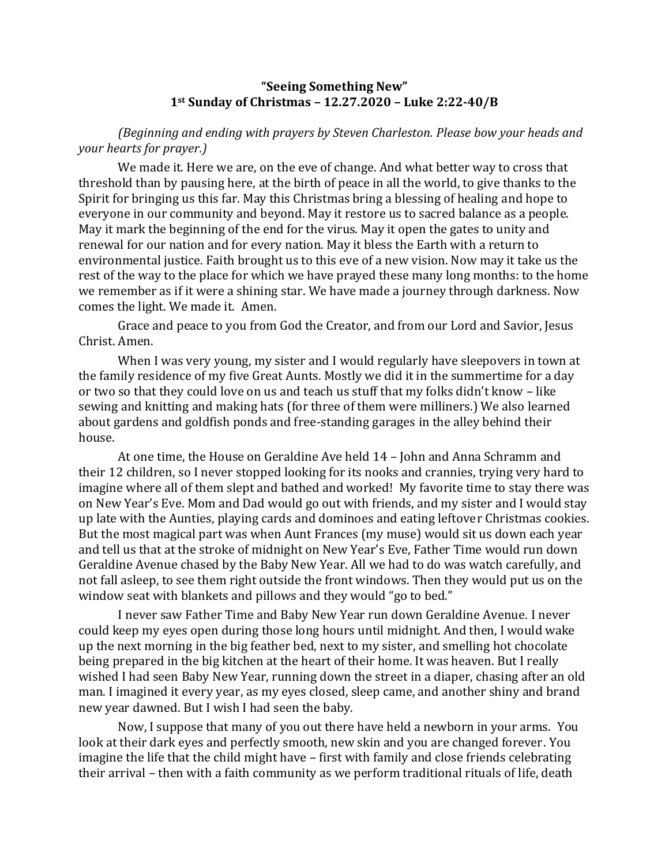## **"Seeing Something New" 1st Sunday of Christmas – 12.27.2020 – Luke 2:22-40/B**

*(Beginning and ending with prayers by Steven Charleston. Please bow your heads and your hearts for prayer.)*

We made it. Here we are, on the eve of change. And what better way to cross that threshold than by pausing here, at the birth of peace in all the world, to give thanks to the Spirit for bringing us this far. May this Christmas bring a blessing of healing and hope to everyone in our community and beyond. May it restore us to sacred balance as a people. May it mark the beginning of the end for the virus. May it open the gates to unity and renewal for our nation and for every nation. May it bless the Earth with a return to environmental justice. Faith brought us to this eve of a new vision. Now may it take us the rest of the way to the place for which we have prayed these many long months: to the home we remember as if it were a shining star. We have made a journey through darkness. Now comes the light. We made it. Amen.

Grace and peace to you from God the Creator, and from our Lord and Savior, Jesus Christ. Amen.

When I was very young, my sister and I would regularly have sleepovers in town at the family residence of my five Great Aunts. Mostly we did it in the summertime for a day or two so that they could love on us and teach us stuff that my folks didn't know – like sewing and knitting and making hats (for three of them were milliners.) We also learned about gardens and goldfish ponds and free-standing garages in the alley behind their house.

At one time, the House on Geraldine Ave held 14 – John and Anna Schramm and their 12 children, so I never stopped looking for its nooks and crannies, trying very hard to imagine where all of them slept and bathed and worked! My favorite time to stay there was on New Year's Eve. Mom and Dad would go out with friends, and my sister and I would stay up late with the Aunties, playing cards and dominoes and eating leftover Christmas cookies. But the most magical part was when Aunt Frances (my muse) would sit us down each year and tell us that at the stroke of midnight on New Year's Eve, Father Time would run down Geraldine Avenue chased by the Baby New Year. All we had to do was watch carefully, and not fall asleep, to see them right outside the front windows. Then they would put us on the window seat with blankets and pillows and they would "go to bed."

I never saw Father Time and Baby New Year run down Geraldine Avenue. I never could keep my eyes open during those long hours until midnight. And then, I would wake up the next morning in the big feather bed, next to my sister, and smelling hot chocolate being prepared in the big kitchen at the heart of their home. It was heaven. But I really wished I had seen Baby New Year, running down the street in a diaper, chasing after an old man. I imagined it every year, as my eyes closed, sleep came, and another shiny and brand new year dawned. But I wish I had seen the baby.

Now, I suppose that many of you out there have held a newborn in your arms. You look at their dark eyes and perfectly smooth, new skin and you are changed forever. You imagine the life that the child might have – first with family and close friends celebrating their arrival – then with a faith community as we perform traditional rituals of life, death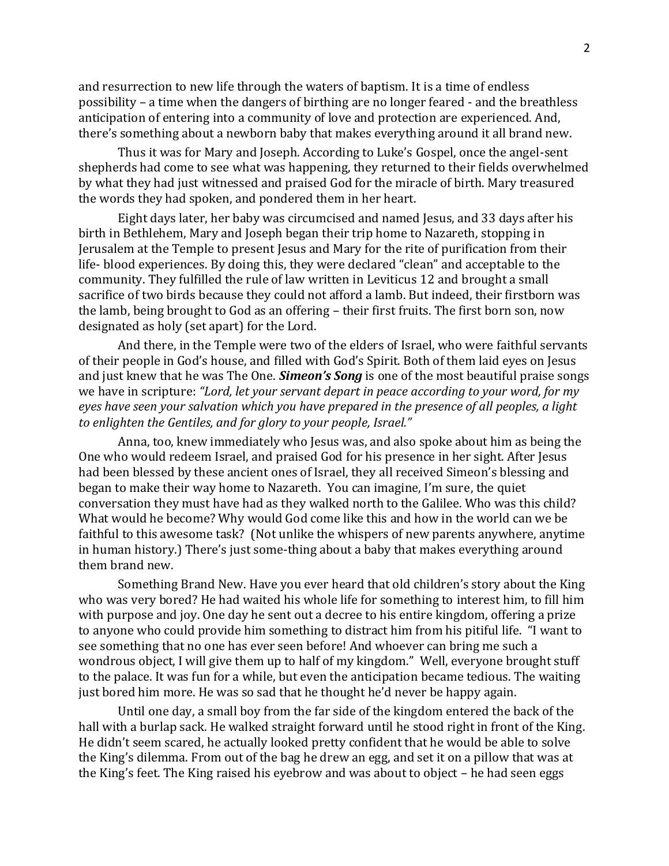and resurrection to new life through the waters of baptism. It is a time of endless possibility – a time when the dangers of birthing are no longer feared - and the breathless anticipation of entering into a community of love and protection are experienced. And, there's something about a newborn baby that makes everything around it all brand new.

Thus it was for Mary and Joseph. According to Luke's Gospel, once the angel-sent shepherds had come to see what was happening, they returned to their fields overwhelmed by what they had just witnessed and praised God for the miracle of birth. Mary treasured the words they had spoken, and pondered them in her heart.

Eight days later, her baby was circumcised and named Jesus, and 33 days after his birth in Bethlehem, Mary and Joseph began their trip home to Nazareth, stopping in Jerusalem at the Temple to present Jesus and Mary for the rite of purification from their life- blood experiences. By doing this, they were declared "clean" and acceptable to the community. They fulfilled the rule of law written in Leviticus 12 and brought a small sacrifice of two birds because they could not afford a lamb. But indeed, their firstborn was the lamb, being brought to God as an offering – their first fruits. The first born son, now designated as holy (set apart) for the Lord.

And there, in the Temple were two of the elders of Israel, who were faithful servants of their people in God's house, and filled with God's Spirit. Both of them laid eyes on Jesus and just knew that he was The One. *Simeon's Song* is one of the most beautiful praise songs we have in scripture: *"Lord, let your servant depart in peace according to your word, for my eyes have seen your salvation which you have prepared in the presence of all peoples, a light to enlighten the Gentiles, and for glory to your people, Israel."* 

Anna, too, knew immediately who Jesus was, and also spoke about him as being the One who would redeem Israel, and praised God for his presence in her sight. After Jesus had been blessed by these ancient ones of Israel, they all received Simeon's blessing and began to make their way home to Nazareth. You can imagine, I'm sure, the quiet conversation they must have had as they walked north to the Galilee. Who was this child? What would he become? Why would God come like this and how in the world can we be faithful to this awesome task? (Not unlike the whispers of new parents anywhere, anytime in human history.) There's just some-thing about a baby that makes everything around them brand new.

Something Brand New. Have you ever heard that old children's story about the King who was very bored? He had waited his whole life for something to interest him, to fill him with purpose and joy. One day he sent out a decree to his entire kingdom, offering a prize to anyone who could provide him something to distract him from his pitiful life. "I want to see something that no one has ever seen before! And whoever can bring me such a wondrous object, I will give them up to half of my kingdom." Well, everyone brought stuff to the palace. It was fun for a while, but even the anticipation became tedious. The waiting just bored him more. He was so sad that he thought he'd never be happy again.

Until one day, a small boy from the far side of the kingdom entered the back of the hall with a burlap sack. He walked straight forward until he stood right in front of the King. He didn't seem scared, he actually looked pretty confident that he would be able to solve the King's dilemma. From out of the bag he drew an egg, and set it on a pillow that was at the King's feet. The King raised his eyebrow and was about to object – he had seen eggs